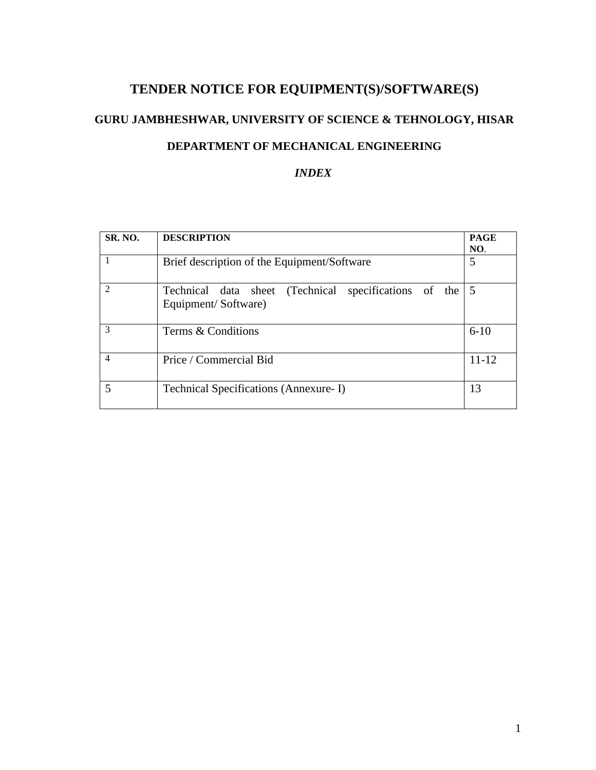# **TENDER NOTICE FOR EQUIPMENT(S)/SOFTWARE(S)**

# **GURU JAMBHESHWAR, UNIVERSITY OF SCIENCE & TEHNOLOGY, HISAR**

# **DEPARTMENT OF MECHANICAL ENGINEERING**

# *INDEX*

| SR. NO.                     | <b>DESCRIPTION</b>                                                             | <b>PAGE</b><br>NO. |  |
|-----------------------------|--------------------------------------------------------------------------------|--------------------|--|
|                             | Brief description of the Equipment/Software                                    |                    |  |
| $\mathcal{D}_{\mathcal{L}}$ | Technical data sheet (Technical specifications of the 5<br>Equipment/Software) |                    |  |
| 3                           | Terms & Conditions                                                             | $6-10$             |  |
| $\overline{4}$              | Price / Commercial Bid                                                         | $11 - 12$          |  |
|                             | Technical Specifications (Annexure-I)                                          | 13                 |  |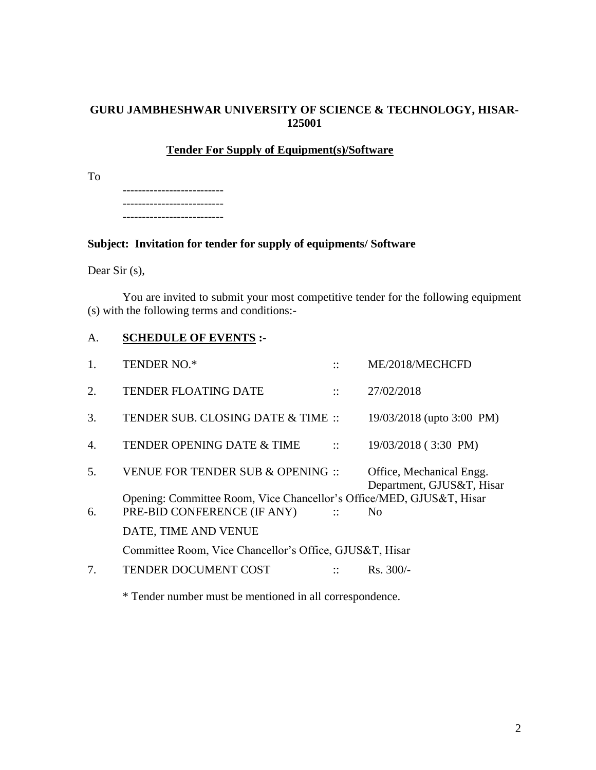# **GURU JAMBHESHWAR UNIVERSITY OF SCIENCE & TECHNOLOGY, HISAR-125001**

## **Tender For Supply of Equipment(s)/Software**

To

-------------------------- -------------------------- --------------------------

# **Subject: Invitation for tender for supply of equipments/ Software**

Dear Sir (s),

You are invited to submit your most competitive tender for the following equipment (s) with the following terms and conditions:-

# A. **SCHEDULE OF EVENTS :-**

| 1.               | <b>TENDER NO.*</b>                                                   | $\cdot$ .            | ME/2018/MECHCFD                                       |
|------------------|----------------------------------------------------------------------|----------------------|-------------------------------------------------------|
| 2.               | <b>TENDER FLOATING DATE</b>                                          | $\cdot\cdot$         | 27/02/2018                                            |
| 3.               | TENDER SUB. CLOSING DATE & TIME ::                                   |                      | 19/03/2018 (upto 3:00 PM)                             |
| $\overline{4}$ . | TENDER OPENING DATE & TIME                                           | $\mathbf{H}$         | 19/03/2018 (3:30 PM)                                  |
| 5.               | VENUE FOR TENDER SUB & OPENING ::                                    |                      | Office, Mechanical Engg.<br>Department, GJUS&T, Hisar |
|                  | Opening: Committee Room, Vice Chancellor's Office/MED, GJUS&T, Hisar |                      |                                                       |
| 6.               | PRE-BID CONFERENCE (IF ANY)                                          | $\sim$ 11 $\sim$     | No.                                                   |
|                  | DATE, TIME AND VENUE                                                 |                      |                                                       |
|                  | Committee Room, Vice Chancellor's Office, GJUS&T, Hisar              |                      |                                                       |
| 7.               | <b>TENDER DOCUMENT COST</b>                                          | $\dddot{\mathbf{r}}$ | $Rs. 300/-$                                           |
|                  |                                                                      |                      |                                                       |

\* Tender number must be mentioned in all correspondence.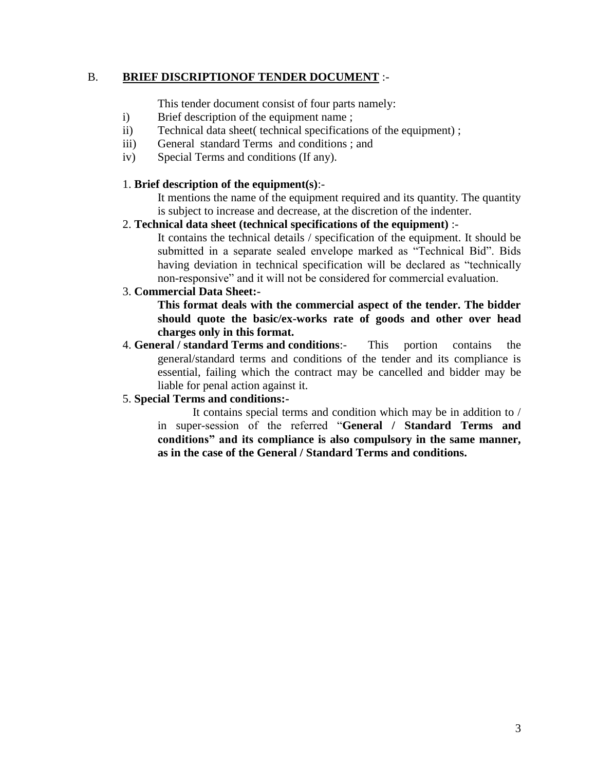# B. **BRIEF DISCRIPTIONOF TENDER DOCUMENT** :-

This tender document consist of four parts namely:

- i) Brief description of the equipment name ;
- ii) Technical data sheet( technical specifications of the equipment) ;
- iii) General standard Terms and conditions ; and
- iv) Special Terms and conditions (If any).

# 1. **Brief description of the equipment(s)**:-

It mentions the name of the equipment required and its quantity. The quantity is subject to increase and decrease, at the discretion of the indenter.

# 2. **Technical data sheet (technical specifications of the equipment)** :-

It contains the technical details / specification of the equipment. It should be submitted in a separate sealed envelope marked as "Technical Bid". Bids having deviation in technical specification will be declared as "technically non-responsive" and it will not be considered for commercial evaluation.

# 3. **Commercial Data Sheet:-**

**This format deals with the commercial aspect of the tender. The bidder should quote the basic/ex-works rate of goods and other over head charges only in this format.** 

4. **General / standard Terms and conditions**:- This portion contains the general/standard terms and conditions of the tender and its compliance is essential, failing which the contract may be cancelled and bidder may be liable for penal action against it.

# 5. **Special Terms and conditions:-**

It contains special terms and condition which may be in addition to / in super-session of the referred "**General / Standard Terms and conditions" and its compliance is also compulsory in the same manner, as in the case of the General / Standard Terms and conditions.**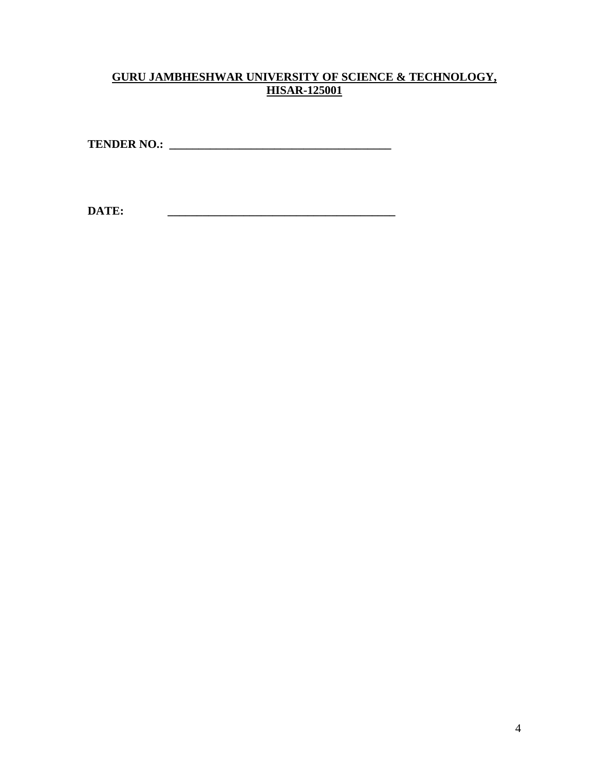# **GURU JAMBHESHWAR UNIVERSITY OF SCIENCE & TECHNOLOGY, HISAR-125001**

**TENDER NO.: \_\_\_\_\_\_\_\_\_\_\_\_\_\_\_\_\_\_\_\_\_\_\_\_\_\_\_\_\_\_\_\_\_\_\_\_\_\_**

**DATE: \_\_\_\_\_\_\_\_\_\_\_\_\_\_\_\_\_\_\_\_\_\_\_\_\_\_\_\_\_\_\_\_\_\_\_\_\_\_\_**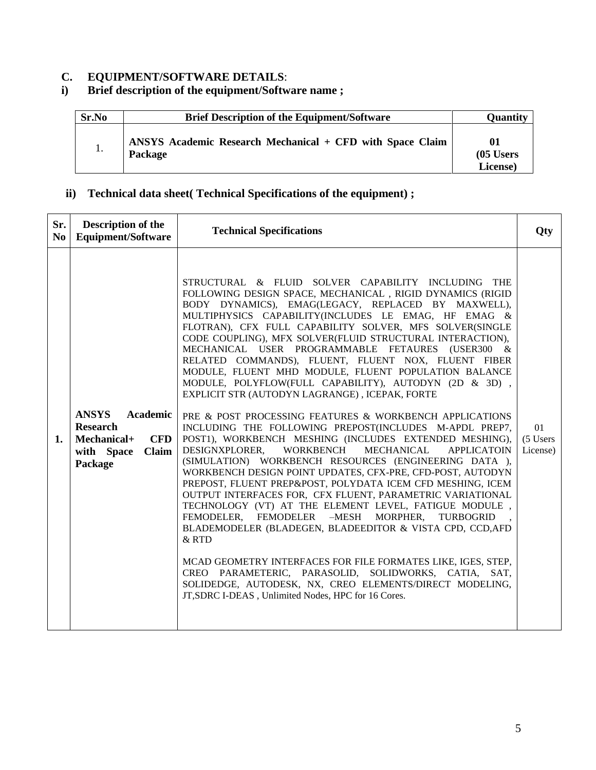# **C. EQUIPMENT/SOFTWARE DETAILS:**<br>**i**) **Brief description of the equipment/Softw i) Brief description of the equipment/Software name ;**

| Sr.No | <b>Brief Description of the Equipment/Software</b>                          | <b>Quantity</b>               |
|-------|-----------------------------------------------------------------------------|-------------------------------|
| 1.    | ANSYS Academic Research Mechanical + CFD with Space Claim<br><b>Package</b> | 01<br>$(05$ Users<br>License) |

# **ii) Technical data sheet( Technical Specifications of the equipment) ;**

| Sr.<br>N <sub>0</sub> | Description of the<br><b>Equipment/Software</b>                                                            | <b>Technical Specifications</b>                                                                                                                                                                                                                                                                                                                                                                                                                                                                                                                                                                                                                                                                                                                                                                                                                                                                                                                                                                                                                                                                                                                                                                                                                                                                                                                                                                                                                                                                                                                                          | Qty                         |
|-----------------------|------------------------------------------------------------------------------------------------------------|--------------------------------------------------------------------------------------------------------------------------------------------------------------------------------------------------------------------------------------------------------------------------------------------------------------------------------------------------------------------------------------------------------------------------------------------------------------------------------------------------------------------------------------------------------------------------------------------------------------------------------------------------------------------------------------------------------------------------------------------------------------------------------------------------------------------------------------------------------------------------------------------------------------------------------------------------------------------------------------------------------------------------------------------------------------------------------------------------------------------------------------------------------------------------------------------------------------------------------------------------------------------------------------------------------------------------------------------------------------------------------------------------------------------------------------------------------------------------------------------------------------------------------------------------------------------------|-----------------------------|
| 1.                    | <b>ANSYS</b><br>Academic<br><b>Research</b><br>Mechanical+<br><b>CFD</b><br>Claim<br>with Space<br>Package | STRUCTURAL & FLUID SOLVER CAPABILITY INCLUDING THE<br>FOLLOWING DESIGN SPACE, MECHANICAL, RIGID DYNAMICS (RIGID<br>BODY DYNAMICS), EMAG(LEGACY, REPLACED BY MAXWELL),<br>MULTIPHYSICS CAPABILITY(INCLUDES LE EMAG, HF EMAG &<br>FLOTRAN), CFX FULL CAPABILITY SOLVER, MFS SOLVER(SINGLE<br>CODE COUPLING), MFX SOLVER(FLUID STRUCTURAL INTERACTION),<br>MECHANICAL USER PROGRAMMABLE FETAURES (USER300<br>$\&$<br>RELATED COMMANDS), FLUENT, FLUENT NOX, FLUENT FIBER<br>MODULE, FLUENT MHD MODULE, FLUENT POPULATION BALANCE<br>MODULE, POLYFLOW(FULL CAPABILITY), AUTODYN (2D & 3D),<br>EXPLICIT STR (AUTODYN LAGRANGE), ICEPAK, FORTE<br>PRE & POST PROCESSING FEATURES & WORKBENCH APPLICATIONS<br>INCLUDING THE FOLLOWING PREPOST(INCLUDES M-APDL PREP7,<br>POST1), WORKBENCH MESHING (INCLUDES EXTENDED MESHING),<br>WORKBENCH<br>DESIGNXPLORER,<br>MECHANICAL<br><b>APPLICATOIN</b><br>(SIMULATION) WORKBENCH RESOURCES (ENGINEERING DATA),<br>WORKBENCH DESIGN POINT UPDATES, CFX-PRE, CFD-POST, AUTODYN<br>PREPOST, FLUENT PREP&POST, POLYDATA ICEM CFD MESHING, ICEM<br>OUTPUT INTERFACES FOR, CFX FLUENT, PARAMETRIC VARIATIONAL<br>TECHNOLOGY (VT) AT THE ELEMENT LEVEL, FATIGUE MODULE,<br>FEMODELER, FEMODELER -MESH MORPHER,<br>TURBOGRID<br>BLADEMODELER (BLADEGEN, BLADEEDITOR & VISTA CPD, CCD, AFD<br>& RTD<br>MCAD GEOMETRY INTERFACES FOR FILE FORMATES LIKE, IGES, STEP,<br>CREO PARAMETERIC, PARASOLID, SOLIDWORKS, CATIA, SAT,<br>SOLIDEDGE, AUTODESK, NX, CREO ELEMENTS/DIRECT MODELING,<br>JT, SDRC I-DEAS, Unlimited Nodes, HPC for 16 Cores. | 01<br>(5 Users)<br>License) |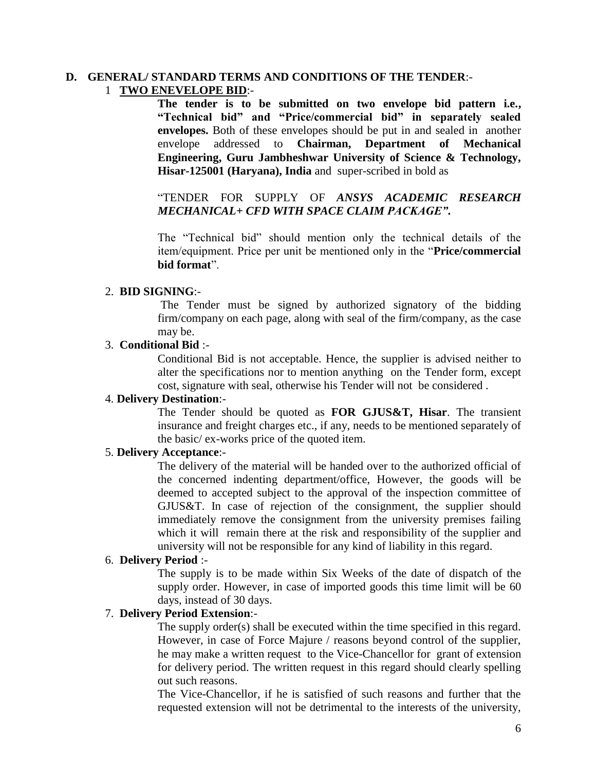#### **D. GENERAL/ STANDARD TERMS AND CONDITIONS OF THE TENDER**:- 1 **TWO ENEVELOPE BID**:-

**The tender is to be submitted on two envelope bid pattern i.e., "Technical bid" and "Price/commercial bid" in separately sealed envelopes.** Both of these envelopes should be put in and sealed in another envelope addressed to **Chairman, Department of Mechanical Engineering, Guru Jambheshwar University of Science & Technology, Hisar-125001 (Haryana), India** and super-scribed in bold as

# "TENDER FOR SUPPLY OF *ANSYS ACADEMIC RESEARCH MECHANICAL+ CFD WITH SPACE CLAIM PACKAGE"***.**

The "Technical bid" should mention only the technical details of the item/equipment. Price per unit be mentioned only in the "**Price/commercial bid format**".

#### 2. **BID SIGNING**:-

The Tender must be signed by authorized signatory of the bidding firm/company on each page, along with seal of the firm/company, as the case may be.

#### 3. **Conditional Bid** :-

Conditional Bid is not acceptable. Hence, the supplier is advised neither to alter the specifications nor to mention anything on the Tender form, except cost, signature with seal, otherwise his Tender will not be considered .

#### 4. **Delivery Destination**:-

The Tender should be quoted as **FOR GJUS&T, Hisar**. The transient insurance and freight charges etc., if any, needs to be mentioned separately of the basic/ ex-works price of the quoted item.

#### 5. **Delivery Acceptance**:-

The delivery of the material will be handed over to the authorized official of the concerned indenting department/office, However, the goods will be deemed to accepted subject to the approval of the inspection committee of GJUS&T. In case of rejection of the consignment, the supplier should immediately remove the consignment from the university premises failing which it will remain there at the risk and responsibility of the supplier and university will not be responsible for any kind of liability in this regard.

#### 6. **Delivery Period** :-

The supply is to be made within Six Weeks of the date of dispatch of the supply order. However, in case of imported goods this time limit will be 60 days, instead of 30 days.

#### 7. **Delivery Period Extension**:-

The supply order(s) shall be executed within the time specified in this regard. However, in case of Force Majure / reasons beyond control of the supplier, he may make a written request to the Vice-Chancellor for grant of extension for delivery period. The written request in this regard should clearly spelling out such reasons.

The Vice-Chancellor, if he is satisfied of such reasons and further that the requested extension will not be detrimental to the interests of the university,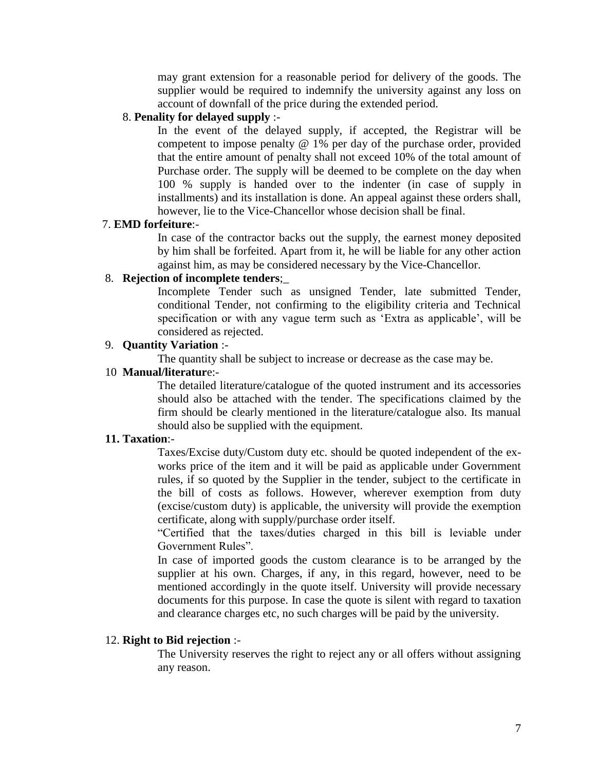may grant extension for a reasonable period for delivery of the goods. The supplier would be required to indemnify the university against any loss on account of downfall of the price during the extended period.

## 8. **Penality for delayed supply** :-

In the event of the delayed supply, if accepted, the Registrar will be competent to impose penalty @ 1% per day of the purchase order, provided that the entire amount of penalty shall not exceed 10% of the total amount of Purchase order. The supply will be deemed to be complete on the day when 100 % supply is handed over to the indenter (in case of supply in installments) and its installation is done. An appeal against these orders shall, however, lie to the Vice-Chancellor whose decision shall be final.

#### 7. **EMD forfeiture**:-

In case of the contractor backs out the supply, the earnest money deposited by him shall be forfeited. Apart from it, he will be liable for any other action against him, as may be considered necessary by the Vice-Chancellor.

# 8. **Rejection of incomplete tenders**;\_

Incomplete Tender such as unsigned Tender, late submitted Tender, conditional Tender, not confirming to the eligibility criteria and Technical specification or with any vague term such as 'Extra as applicable', will be considered as rejected.

#### 9. **Quantity Variation** :-

The quantity shall be subject to increase or decrease as the case may be.

### 10 **Manual/literatur**e:-

The detailed literature/catalogue of the quoted instrument and its accessories should also be attached with the tender. The specifications claimed by the firm should be clearly mentioned in the literature/catalogue also. Its manual should also be supplied with the equipment.

#### **11. Taxation**:-

Taxes/Excise duty/Custom duty etc. should be quoted independent of the exworks price of the item and it will be paid as applicable under Government rules, if so quoted by the Supplier in the tender, subject to the certificate in the bill of costs as follows. However, wherever exemption from duty (excise/custom duty) is applicable, the university will provide the exemption certificate, along with supply/purchase order itself.

"Certified that the taxes/duties charged in this bill is leviable under Government Rules".

In case of imported goods the custom clearance is to be arranged by the supplier at his own. Charges, if any, in this regard, however, need to be mentioned accordingly in the quote itself. University will provide necessary documents for this purpose. In case the quote is silent with regard to taxation and clearance charges etc, no such charges will be paid by the university.

#### 12. **Right to Bid rejection** :-

The University reserves the right to reject any or all offers without assigning any reason.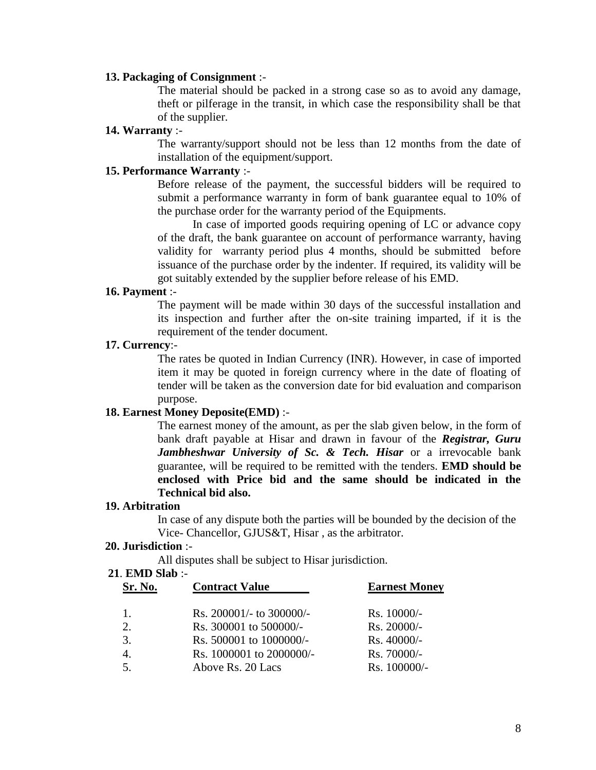#### **13. Packaging of Consignment** :-

The material should be packed in a strong case so as to avoid any damage, theft or pilferage in the transit, in which case the responsibility shall be that of the supplier.

## **14. Warranty** :-

The warranty/support should not be less than 12 months from the date of installation of the equipment/support.

#### **15. Performance Warranty** :-

Before release of the payment, the successful bidders will be required to submit a performance warranty in form of bank guarantee equal to 10% of the purchase order for the warranty period of the Equipments.

In case of imported goods requiring opening of LC or advance copy of the draft, the bank guarantee on account of performance warranty, having validity for warranty period plus 4 months, should be submitted before issuance of the purchase order by the indenter. If required, its validity will be got suitably extended by the supplier before release of his EMD.

#### **16. Payment** :-

The payment will be made within 30 days of the successful installation and its inspection and further after the on-site training imparted, if it is the requirement of the tender document.

#### **17. Currency**:-

The rates be quoted in Indian Currency (INR). However, in case of imported item it may be quoted in foreign currency where in the date of floating of tender will be taken as the conversion date for bid evaluation and comparison purpose.

## **18. Earnest Money Deposite(EMD)** :-

The earnest money of the amount, as per the slab given below, in the form of bank draft payable at Hisar and drawn in favour of the *Registrar, Guru Jambheshwar University of Sc. & Tech. Hisar* or a irrevocable bank guarantee, will be required to be remitted with the tenders. **EMD should be enclosed with Price bid and the same should be indicated in the Technical bid also.**

#### **19. Arbitration**

In case of any dispute both the parties will be bounded by the decision of the Vice- Chancellor, GJUS&T, Hisar , as the arbitrator.

## **20. Jurisdiction** :-

All disputes shall be subject to Hisar jurisdiction.

#### **21**. **EMD Slab** :-

| Sr. No.          | <b>Contract Value</b>        | <b>Earnest Money</b> |
|------------------|------------------------------|----------------------|
| $\overline{1}$ . | Rs. $200001/-$ to $300000/-$ | $Rs. 10000/-$        |
| 2.               | Rs. 300001 to 500000/-       | Rs. 20000/-          |
| 3.               | Rs. 500001 to 1000000/-      | $Rs.40000/-$         |
| 4.               | Rs. 1000001 to 2000000/-     | Rs. 70000/-          |
| 5.               | Above Rs. 20 Lacs            | $Rs. 100000/-$       |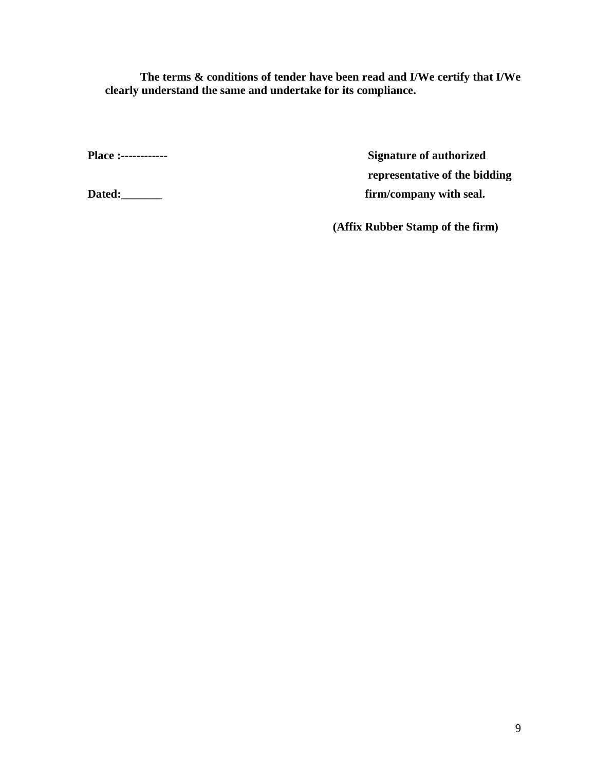**The terms & conditions of tender have been read and I/We certify that I/We clearly understand the same and undertake for its compliance.**

**Place :------------ Signature of authorized representative of the bidding**  Dated:\_\_\_\_\_\_\_\_ **Dated:\_\_\_\_\_\_\_** firm/company with seal.

**(Affix Rubber Stamp of the firm)**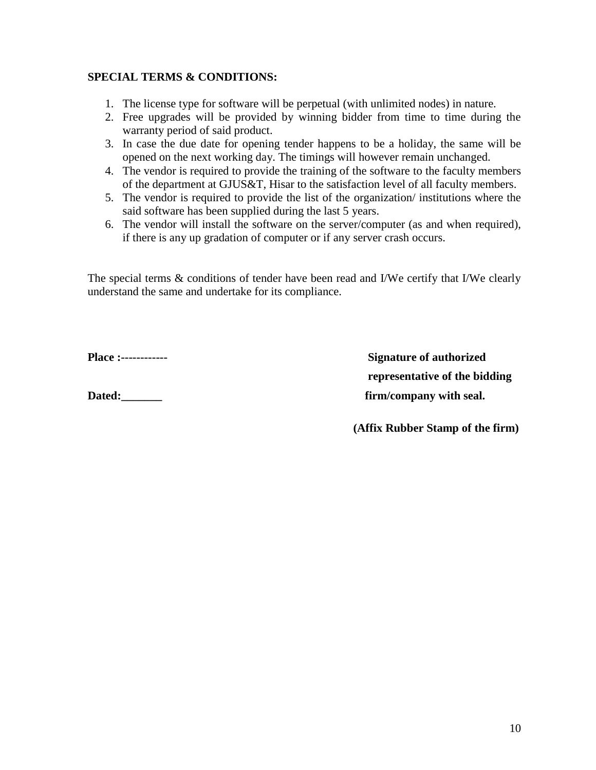# **SPECIAL TERMS & CONDITIONS:**

- 1. The license type for software will be perpetual (with unlimited nodes) in nature.
- 2. Free upgrades will be provided by winning bidder from time to time during the warranty period of said product.
- 3. In case the due date for opening tender happens to be a holiday, the same will be opened on the next working day. The timings will however remain unchanged.
- 4. The vendor is required to provide the training of the software to the faculty members of the department at GJUS&T, Hisar to the satisfaction level of all faculty members.
- 5. The vendor is required to provide the list of the organization/ institutions where the said software has been supplied during the last 5 years.
- 6. The vendor will install the software on the server/computer (as and when required), if there is any up gradation of computer or if any server crash occurs.

The special terms  $\&$  conditions of tender have been read and I/We certify that I/We clearly understand the same and undertake for its compliance.

**Place :------------ Signature of authorized representative of the bidding**  Dated:\_\_\_\_\_\_\_\_ **details Dated: Dated: html company** with seal.

 **(Affix Rubber Stamp of the firm)**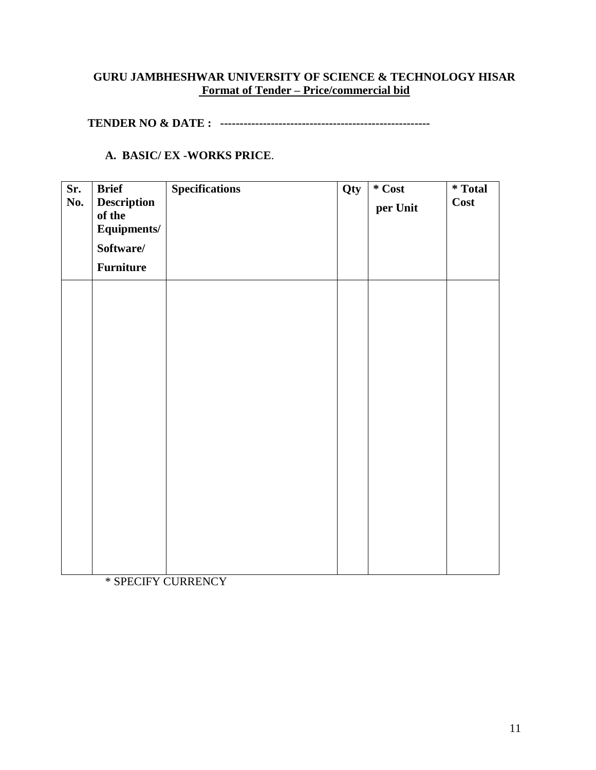# **GURU JAMBHESHWAR UNIVERSITY OF SCIENCE & TECHNOLOGY HISAR Format of Tender – Price/commercial bid**

**TENDER NO & DATE : ------------------------------------------------------**

## **A. BASIC/ EX -WORKS PRICE**.

| Sr.<br>No. | <b>Brief</b><br><b>Description</b><br>of the<br>Equipments/<br>Software/<br><b>Furniture</b> | <b>Specifications</b> | Qty | $*$ Cost<br>per Unit | <i>*</i> Total<br>Cost |
|------------|----------------------------------------------------------------------------------------------|-----------------------|-----|----------------------|------------------------|
|            |                                                                                              |                       |     |                      |                        |
|            |                                                                                              |                       |     |                      |                        |
|            |                                                                                              |                       |     |                      |                        |

\* SPECIFY CURRENCY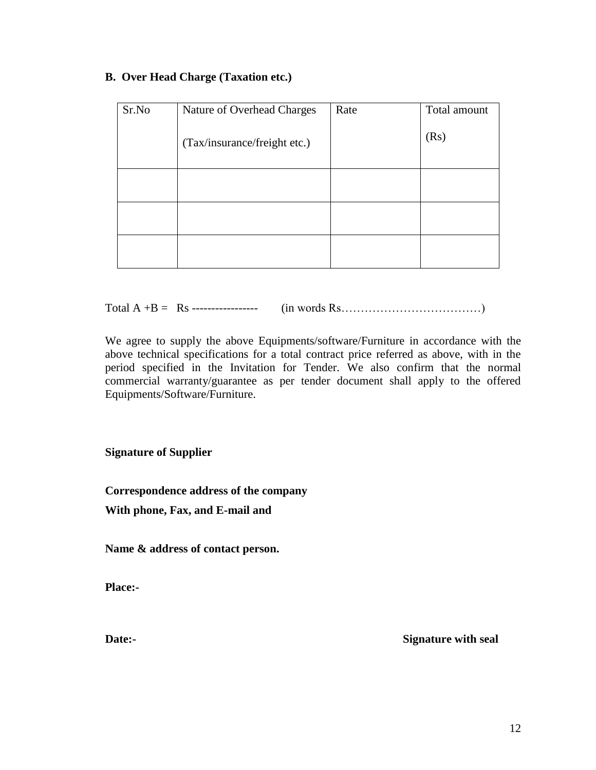# **B. Over Head Charge (Taxation etc.)**

| Sr.No | Nature of Overhead Charges   | Rate | Total amount |
|-------|------------------------------|------|--------------|
|       | (Tax/insurance/freight etc.) |      | (Rs)         |
|       |                              |      |              |
|       |                              |      |              |
|       |                              |      |              |

Total A +B = Rs ----------------- (in words Rs………………………………)

We agree to supply the above Equipments/software/Furniture in accordance with the above technical specifications for a total contract price referred as above, with in the period specified in the Invitation for Tender. We also confirm that the normal commercial warranty/guarantee as per tender document shall apply to the offered Equipments/Software/Furniture.

**Signature of Supplier**

**Correspondence address of the company**

**With phone, Fax, and E-mail and** 

**Name & address of contact person.**

**Place:-**

**Date:- Signature with seal**